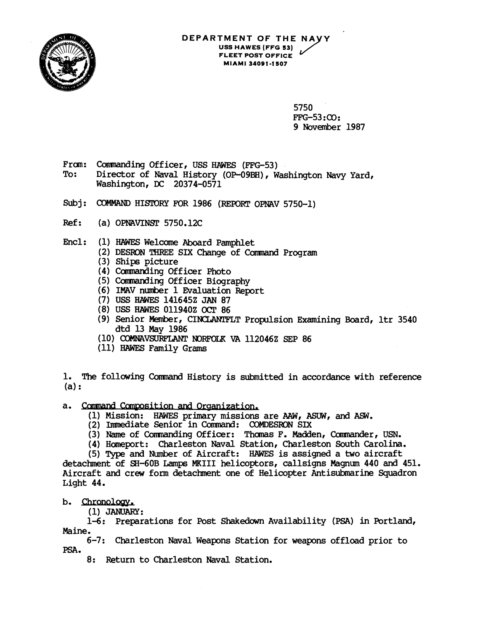

## **DEPARTMENT OF THE US\$ HAWES (FFG 53) FLEET POST OFFICE MIAMI 3409 1-1 SO7**

5750 FFG-53 : **CO** : 9 November 1987

- From: Commanding Officer, USS HAWES (FFG-53)<br>To: Director of Naval History (OP-09BH). W
- Director of Naval History (OP-09BH), Washington Navy Yard, Washington, **DC** 20374-0571
- Subj: COMMAND HISTORY FOR 1986 (REPORT OPNAV 5750-1)
- Ref: (a) OPNAVINST 5750.12C
- Encl: (1) **HAWES** Welcome Aboard Pamphlet
	- (2) DESRON THREE SIX Change of Command Program
	- (3) Ships picture
	- (4) Commanding Officer Photo
	- (5) Camanding Officer Biography
	- (6) IMAV number 1 Evaluation Report
	- (7) USS HAWES 141645Z JAN 87
	- (8) USS HAWES 011940Z OCT 86
	- (9) Senior Member, CINCLANTFLT Propulsion Examining Board, ltr 3540 dtd 13 May 1986
	- (10) COMNAVSURFLANT NORFOLK VA 112046Z SEP 86
	- (11) **HAWES** Family Grams

l. The following Command History is submitted in accordance with reference<br>(a):

- a. Command Composition and Organization.
	- (1) Mission: HAWES primary missions are AAW, ASUW, and ASW.
	- (2) Immediate Senior in Command: COMDESRON SIX
	- (3) Name of Commanding Officer: Thomas F. Madden, Commander, USN.
	- (4) Heport: Charleston Naval Station, Charleston South Carolina.

(5) Type and Number of Aircraft: HAWES is assigned a two aircraft detachment of SH-60B Lamps MKIII helicoptors, callsigns Magnum 440 and 451. Aircraft and crew form detachment one of Helicopter Antisubmarine Squadron Light 44.

## b. Chronology.

 $(1)$  JANUARY:

1-6: Preparations for Post Shakedown Availability **(PSA)** in Portland, Maine.

6-7: Charleston Naval Weapons Station for weapons offload prior to **PSA.** 

8: Return to Charleston Naval Station.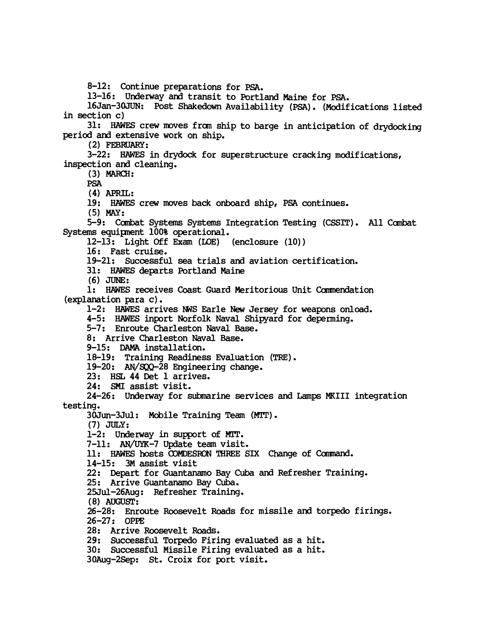8-12: Continue preparations for PSA.

13-16: Underway and transit to Portland Maine for PSA.

16Jan-3OJUN: Post Shakedown Availability (PSA) . (Modifications listed in section c)

31: HAWES crew moves £ran ship to barge in anticipation of drydocking period and extensive work on ship.

(2) FEBRUAKY:

3-22: HAWES in drydock for superstructure cracking modifications, inspection and cleaning.

(3) **MARCH:** 

PSA

(4) APRIL:

19: HAWES crew moves back onboard ship, PSA continues.

(5) **MW:** 

5-9: Combat Systems Systems Integration Testing (CSSIT). All Combat Systems equipnent 100% operational.

 $12-13$ : Light Off Exam (LOE) (enclosure  $(10)$ )

16: Fast cruise.

19-21: Successful sea trials and aviation certification.

31: HAWES departs Portland Maine

(6) **JUNE:** 

1: HAWES receives Coast Guard Meritorious Unit Camendation (explanation para c).

1-2: HAWES arrives WS Earle **New** Jersey for weapons onload.

4-5: HAWES inport Norfolk Naval Shipyard for deperming.

5-7: Enroute Charleston Naval **Base.** 

8: Arrive Charleston Naval Base.

9-15: **DAMA** installation.

18-19: Training Readiness Evaluation (TRE).

19-20: AN/SQQ-28 Engineering change.

23: **HSL** 44 Det 1 arrives.

24: SMI assist visit.

24-26: Underway for submarine services and Lamps MKIII integration testing.

30Jun-3Jul: Mobile Training Team (M'IT) . (7) **JULY:** 

1-2: Underway in support of MIT.

7-11: AN/UYK-7 Update team visit.

11: HAWES hosts COMDESRON THREE SIX Change of Command.

14-15: 3M assist visit

22: Depart for Guantanamo Bay Cuba and Refresher Training.

25: Arrive Guantanamo Bay Cuba.

25Jul-26Aug: Refresher Training.

(8) **AUGUST:** 

26-28: Enroute Roosevelt Roads for missile and torpedo firings. 26-27: OPE

28: Arrive Roosevelt Roads.

29: Successful Torpedo Firing evaluated as a hit.

30: Successful Missile Firing evaluated as a hit.

30Aug-2Sep: St. Croix for port visit.